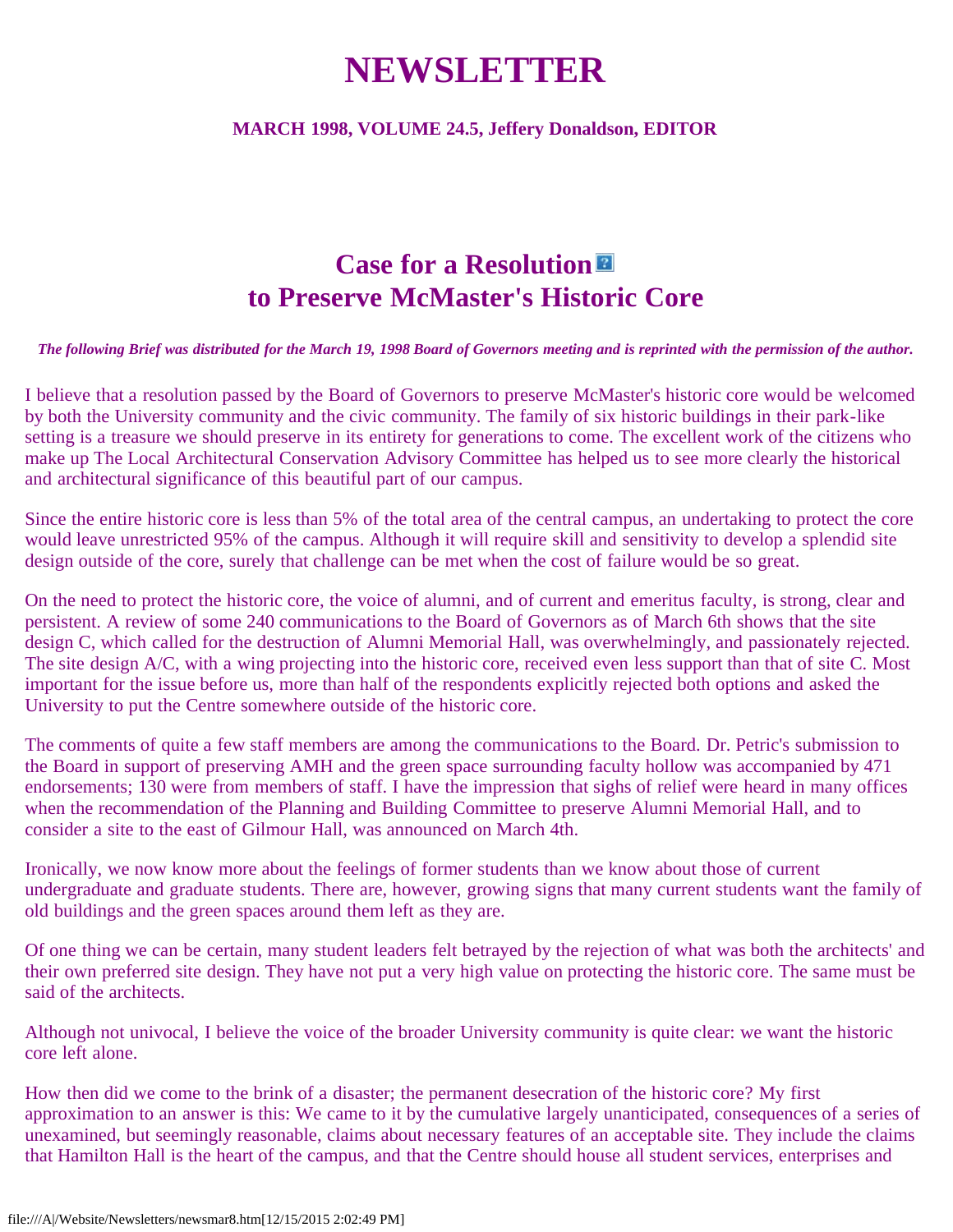# **NEWSLETTER**

#### **MARCH 1998, VOLUME 24.5, Jeffery Donaldson, EDITOR**

# **Case for a Resolution to Preserve McMaster's Historic Core**

#### *The following Brief was distributed for the March 19, 1998 Board of Governors meeting and is reprinted with the permission of the author.*

I believe that a resolution passed by the Board of Governors to preserve McMaster's historic core would be welcomed by both the University community and the civic community. The family of six historic buildings in their park-like setting is a treasure we should preserve in its entirety for generations to come. The excellent work of the citizens who make up The Local Architectural Conservation Advisory Committee has helped us to see more clearly the historical and architectural significance of this beautiful part of our campus.

Since the entire historic core is less than 5% of the total area of the central campus, an undertaking to protect the core would leave unrestricted 95% of the campus. Although it will require skill and sensitivity to develop a splendid site design outside of the core, surely that challenge can be met when the cost of failure would be so great.

On the need to protect the historic core, the voice of alumni, and of current and emeritus faculty, is strong, clear and persistent. A review of some 240 communications to the Board of Governors as of March 6th shows that the site design C, which called for the destruction of Alumni Memorial Hall, was overwhelmingly, and passionately rejected. The site design A/C, with a wing projecting into the historic core, received even less support than that of site C. Most important for the issue before us, more than half of the respondents explicitly rejected both options and asked the University to put the Centre somewhere outside of the historic core.

The comments of quite a few staff members are among the communications to the Board. Dr. Petric's submission to the Board in support of preserving AMH and the green space surrounding faculty hollow was accompanied by 471 endorsements; 130 were from members of staff. I have the impression that sighs of relief were heard in many offices when the recommendation of the Planning and Building Committee to preserve Alumni Memorial Hall, and to consider a site to the east of Gilmour Hall, was announced on March 4th.

Ironically, we now know more about the feelings of former students than we know about those of current undergraduate and graduate students. There are, however, growing signs that many current students want the family of old buildings and the green spaces around them left as they are.

Of one thing we can be certain, many student leaders felt betrayed by the rejection of what was both the architects' and their own preferred site design. They have not put a very high value on protecting the historic core. The same must be said of the architects.

Although not univocal, I believe the voice of the broader University community is quite clear: we want the historic core left alone.

How then did we come to the brink of a disaster; the permanent desecration of the historic core? My first approximation to an answer is this: We came to it by the cumulative largely unanticipated, consequences of a series of unexamined, but seemingly reasonable, claims about necessary features of an acceptable site. They include the claims that Hamilton Hall is the heart of the campus, and that the Centre should house all student services, enterprises and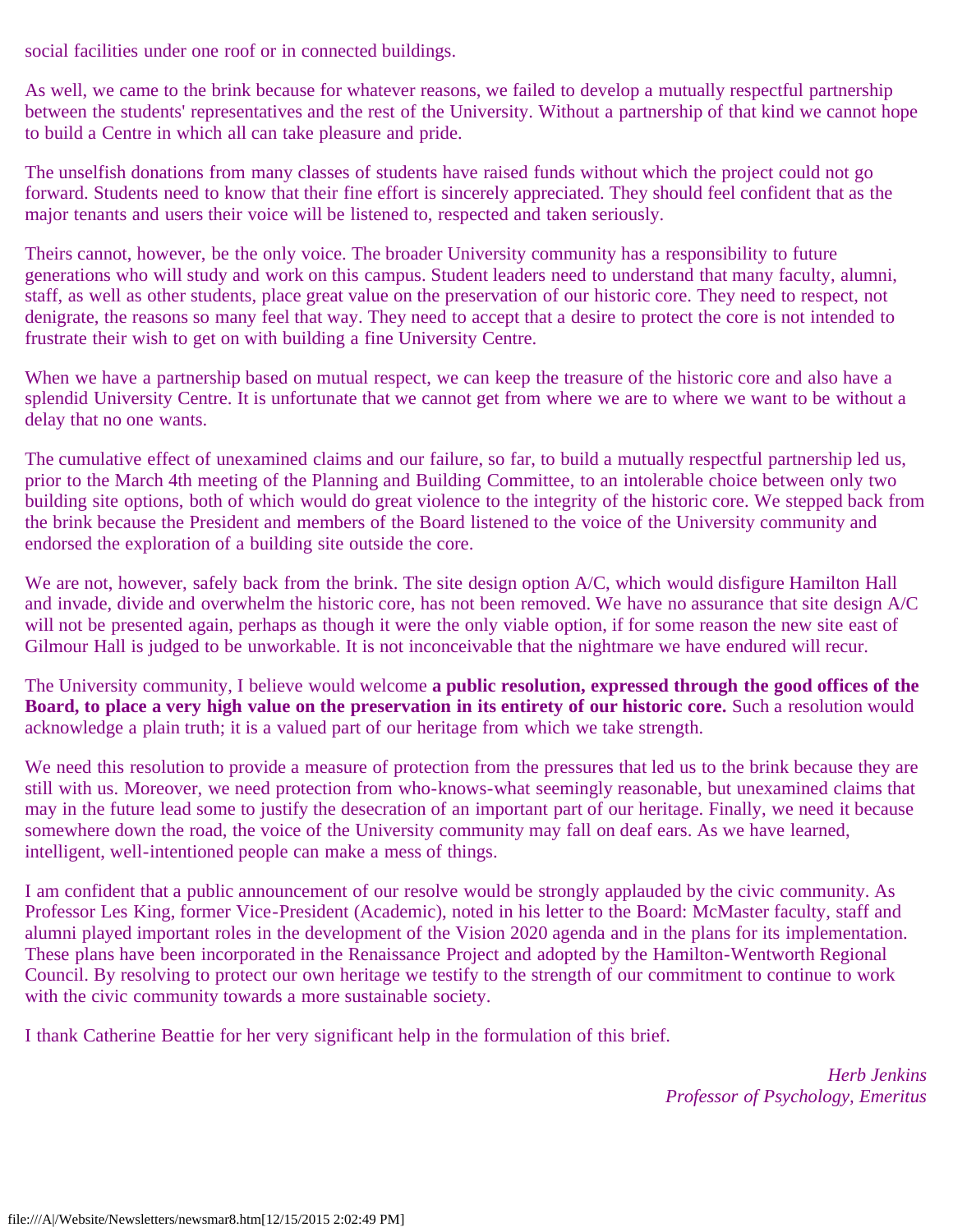social facilities under one roof or in connected buildings.

As well, we came to the brink because for whatever reasons, we failed to develop a mutually respectful partnership between the students' representatives and the rest of the University. Without a partnership of that kind we cannot hope to build a Centre in which all can take pleasure and pride.

The unselfish donations from many classes of students have raised funds without which the project could not go forward. Students need to know that their fine effort is sincerely appreciated. They should feel confident that as the major tenants and users their voice will be listened to, respected and taken seriously.

Theirs cannot, however, be the only voice. The broader University community has a responsibility to future generations who will study and work on this campus. Student leaders need to understand that many faculty, alumni, staff, as well as other students, place great value on the preservation of our historic core. They need to respect, not denigrate, the reasons so many feel that way. They need to accept that a desire to protect the core is not intended to frustrate their wish to get on with building a fine University Centre.

When we have a partnership based on mutual respect, we can keep the treasure of the historic core and also have a splendid University Centre. It is unfortunate that we cannot get from where we are to where we want to be without a delay that no one wants.

The cumulative effect of unexamined claims and our failure, so far, to build a mutually respectful partnership led us, prior to the March 4th meeting of the Planning and Building Committee, to an intolerable choice between only two building site options, both of which would do great violence to the integrity of the historic core. We stepped back from the brink because the President and members of the Board listened to the voice of the University community and endorsed the exploration of a building site outside the core.

We are not, however, safely back from the brink. The site design option A/C, which would disfigure Hamilton Hall and invade, divide and overwhelm the historic core, has not been removed. We have no assurance that site design A/C will not be presented again, perhaps as though it were the only viable option, if for some reason the new site east of Gilmour Hall is judged to be unworkable. It is not inconceivable that the nightmare we have endured will recur.

The University community, I believe would welcome **a public resolution, expressed through the good offices of the Board, to place a very high value on the preservation in its entirety of our historic core.** Such a resolution would acknowledge a plain truth; it is a valued part of our heritage from which we take strength.

We need this resolution to provide a measure of protection from the pressures that led us to the brink because they are still with us. Moreover, we need protection from who-knows-what seemingly reasonable, but unexamined claims that may in the future lead some to justify the desecration of an important part of our heritage. Finally, we need it because somewhere down the road, the voice of the University community may fall on deaf ears. As we have learned, intelligent, well-intentioned people can make a mess of things.

I am confident that a public announcement of our resolve would be strongly applauded by the civic community. As Professor Les King, former Vice-President (Academic), noted in his letter to the Board: McMaster faculty, staff and alumni played important roles in the development of the Vision 2020 agenda and in the plans for its implementation. These plans have been incorporated in the Renaissance Project and adopted by the Hamilton-Wentworth Regional Council. By resolving to protect our own heritage we testify to the strength of our commitment to continue to work with the civic community towards a more sustainable society.

I thank Catherine Beattie for her very significant help in the formulation of this brief.

*Herb Jenkins Professor of Psychology, Emeritus*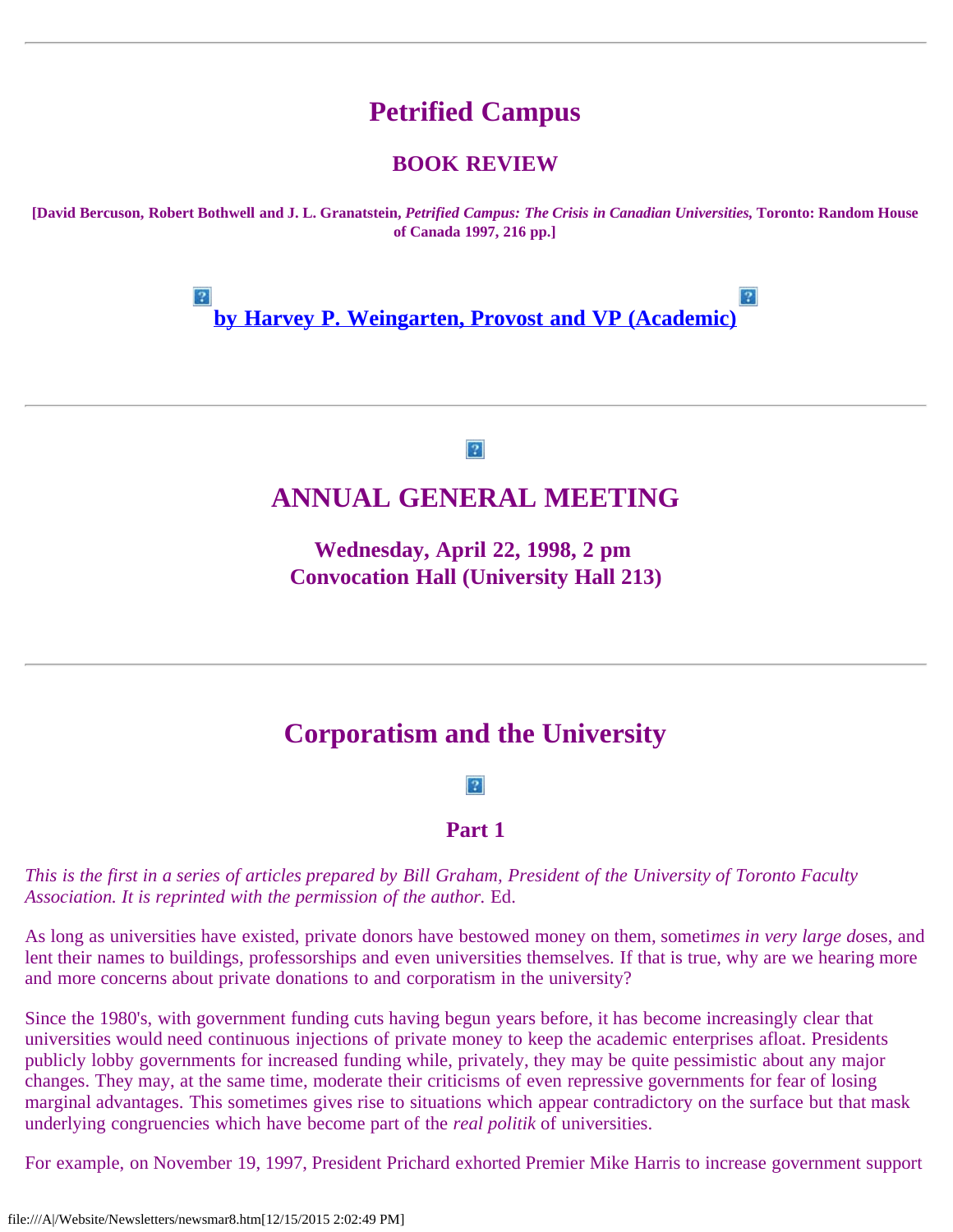# **Petrified Campus**

#### **BOOK REVIEW**

**[David Bercuson, Robert Bothwell and J. L. Granatstein,** *Petrified Campus: The Crisis in Canadian Universities,* **Toronto: Random House of Canada 1997, 216 pp.]**

> $|2|$  $|2|$ **[by Harvey P. Weingarten, Provost and VP \(Academic\)](file:///A|/Website/Newsletters/petrifie.htm)**

> > $|2|$

### **ANNUAL GENERAL MEETING**

**Wednesday, April 22, 1998, 2 pm Convocation Hall (University Hall 213)**

## **Corporatism and the University**

 $|2|$ 

#### **Part 1**

*This is the first in a series of articles prepared by Bill Graham, President of the University of Toronto Faculty Association. It is reprinted with the permission of the author.* Ed.

As long as universities have existed, private donors have bestowed money on them, someti*mes in very large do*ses, and lent their names to buildings, professorships and even universities themselves. If that is true, why are we hearing more and more concerns about private donations to and corporatism in the university?

Since the 1980's, with government funding cuts having begun years before, it has become increasingly clear that universities would need continuous injections of private money to keep the academic enterprises afloat. Presidents publicly lobby governments for increased funding while, privately, they may be quite pessimistic about any major changes. They may, at the same time, moderate their criticisms of even repressive governments for fear of losing marginal advantages. This sometimes gives rise to situations which appear contradictory on the surface but that mask underlying congruencies which have become part of the *real politik* of universities.

For example, on November 19, 1997, President Prichard exhorted Premier Mike Harris to increase government support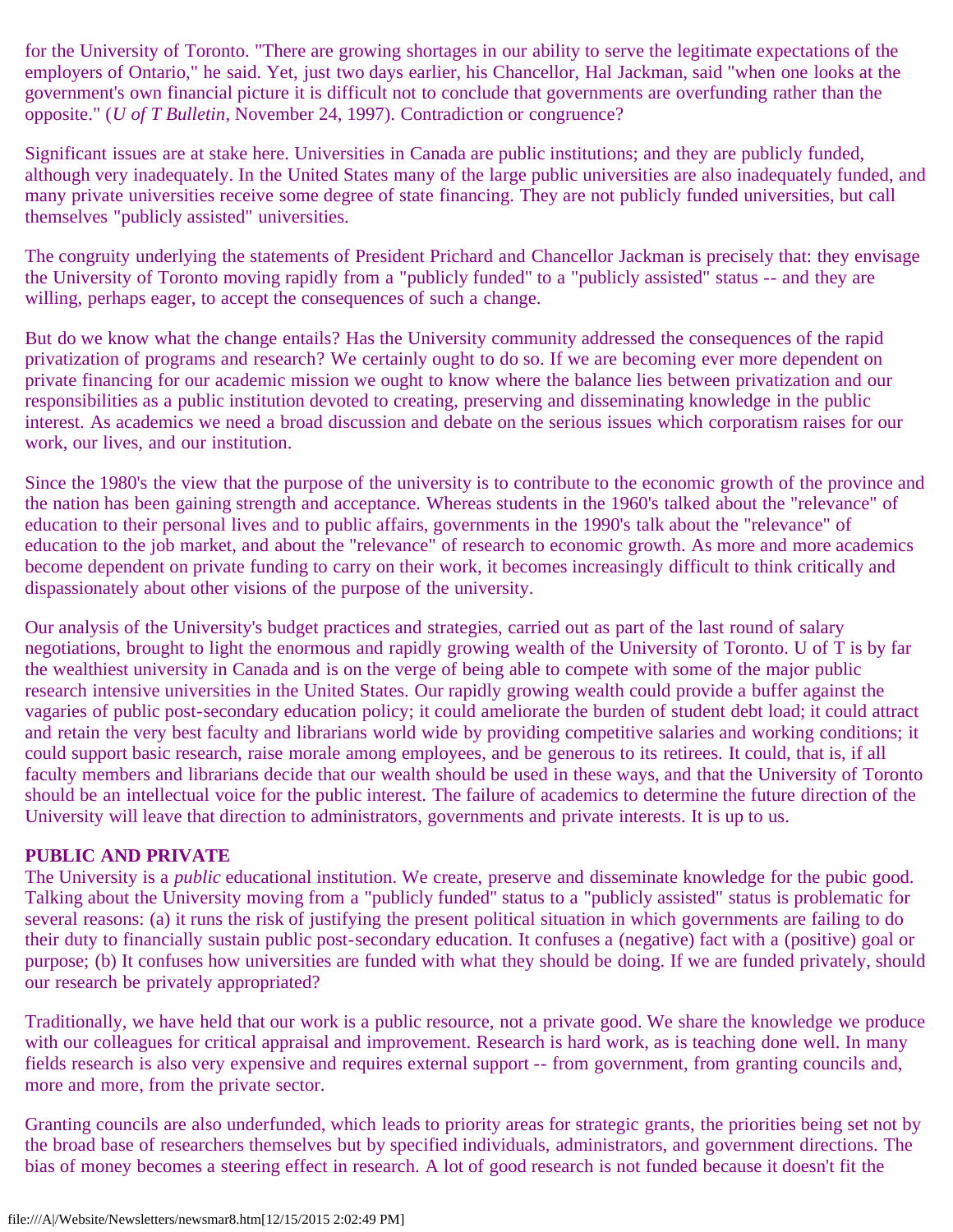for the University of Toronto. "There are growing shortages in our ability to serve the legitimate expectations of the employers of Ontario," he said. Yet, just two days earlier, his Chancellor, Hal Jackman, said "when one looks at the government's own financial picture it is difficult not to conclude that governments are overfunding rather than the opposite." (*U of T Bulletin*, November 24, 1997). Contradiction or congruence?

Significant issues are at stake here. Universities in Canada are public institutions; and they are publicly funded, although very inadequately. In the United States many of the large public universities are also inadequately funded, and many private universities receive some degree of state financing. They are not publicly funded universities, but call themselves "publicly assisted" universities.

The congruity underlying the statements of President Prichard and Chancellor Jackman is precisely that: they envisage the University of Toronto moving rapidly from a "publicly funded" to a "publicly assisted" status -- and they are willing, perhaps eager, to accept the consequences of such a change.

But do we know what the change entails? Has the University community addressed the consequences of the rapid privatization of programs and research? We certainly ought to do so. If we are becoming ever more dependent on private financing for our academic mission we ought to know where the balance lies between privatization and our responsibilities as a public institution devoted to creating, preserving and disseminating knowledge in the public interest. As academics we need a broad discussion and debate on the serious issues which corporatism raises for our work, our lives, and our institution.

Since the 1980's the view that the purpose of the university is to contribute to the economic growth of the province and the nation has been gaining strength and acceptance. Whereas students in the 1960's talked about the "relevance" of education to their personal lives and to public affairs, governments in the 1990's talk about the "relevance" of education to the job market, and about the "relevance" of research to economic growth. As more and more academics become dependent on private funding to carry on their work, it becomes increasingly difficult to think critically and dispassionately about other visions of the purpose of the university.

Our analysis of the University's budget practices and strategies, carried out as part of the last round of salary negotiations, brought to light the enormous and rapidly growing wealth of the University of Toronto. U of T is by far the wealthiest university in Canada and is on the verge of being able to compete with some of the major public research intensive universities in the United States. Our rapidly growing wealth could provide a buffer against the vagaries of public post-secondary education policy; it could ameliorate the burden of student debt load; it could attract and retain the very best faculty and librarians world wide by providing competitive salaries and working conditions; it could support basic research, raise morale among employees, and be generous to its retirees. It could, that is, if all faculty members and librarians decide that our wealth should be used in these ways, and that the University of Toronto should be an intellectual voice for the public interest. The failure of academics to determine the future direction of the University will leave that direction to administrators, governments and private interests. It is up to us.

#### **PUBLIC AND PRIVATE**

The University is a *public* educational institution. We create, preserve and disseminate knowledge for the pubic good. Talking about the University moving from a "publicly funded" status to a "publicly assisted" status is problematic for several reasons: (a) it runs the risk of justifying the present political situation in which governments are failing to do their duty to financially sustain public post-secondary education. It confuses a (negative) fact with a (positive) goal or purpose; (b) It confuses how universities are funded with what they should be doing. If we are funded privately, should our research be privately appropriated?

Traditionally, we have held that our work is a public resource, not a private good. We share the knowledge we produce with our colleagues for critical appraisal and improvement. Research is hard work, as is teaching done well. In many fields research is also very expensive and requires external support -- from government, from granting councils and, more and more, from the private sector.

Granting councils are also underfunded, which leads to priority areas for strategic grants, the priorities being set not by the broad base of researchers themselves but by specified individuals, administrators, and government directions. The bias of money becomes a steering effect in research. A lot of good research is not funded because it doesn't fit the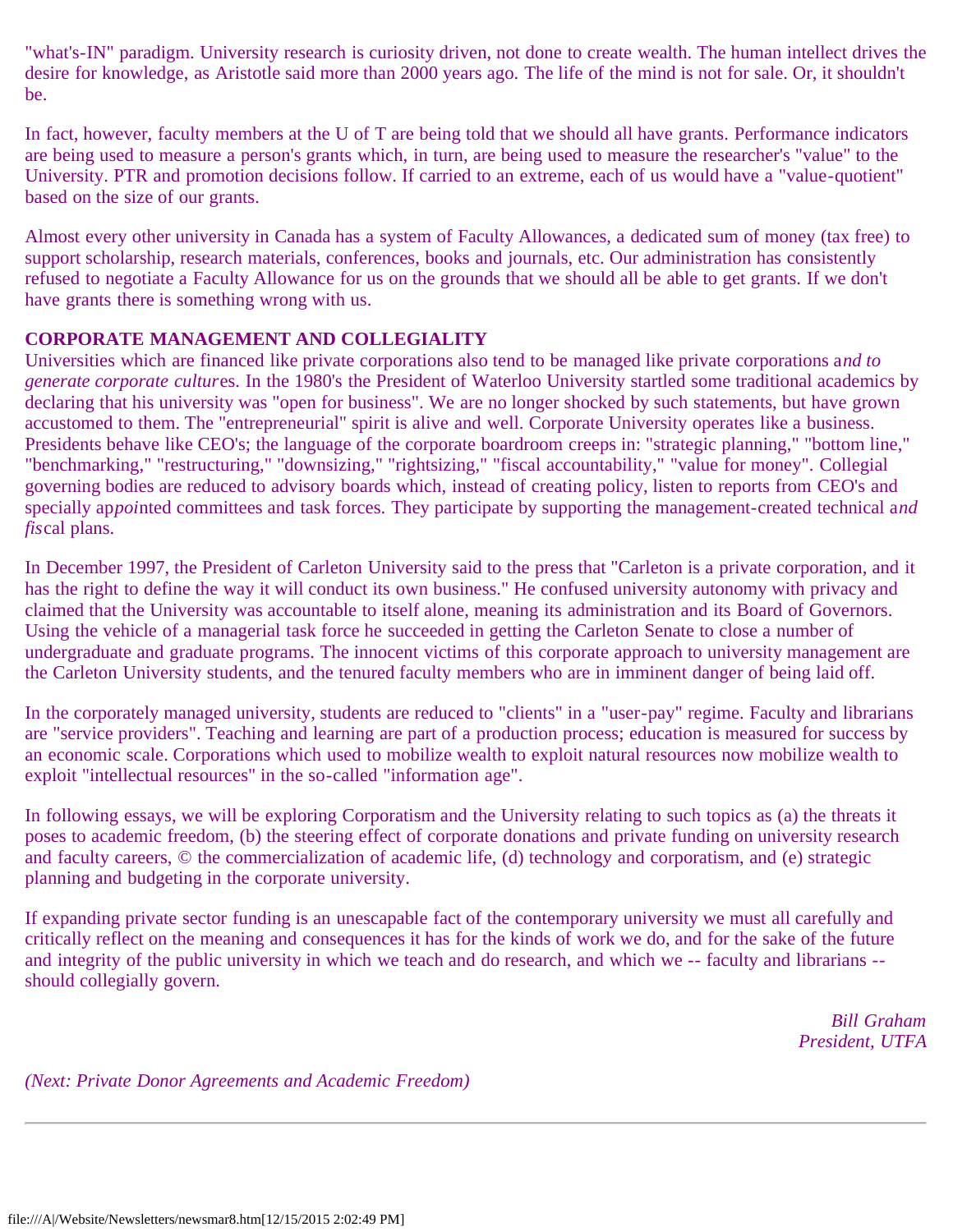"what's-IN" paradigm. University research is curiosity driven, not done to create wealth. The human intellect drives the desire for knowledge, as Aristotle said more than 2000 years ago. The life of the mind is not for sale. Or, it shouldn't be.

In fact, however, faculty members at the U of T are being told that we should all have grants. Performance indicators are being used to measure a person's grants which, in turn, are being used to measure the researcher's "value" to the University. PTR and promotion decisions follow. If carried to an extreme, each of us would have a "value-quotient" based on the size of our grants.

Almost every other university in Canada has a system of Faculty Allowances, a dedicated sum of money (tax free) to support scholarship, research materials, conferences, books and journals, etc. Our administration has consistently refused to negotiate a Faculty Allowance for us on the grounds that we should all be able to get grants. If we don't have grants there is something wrong with us.

#### **CORPORATE MANAGEMENT AND COLLEGIALITY**

Universities which are financed like private corporations also tend to be managed like private corporations a*nd to generate corporate cultur*es. In the 1980's the President of Waterloo University startled some traditional academics by declaring that his university was "open for business". We are no longer shocked by such statements, but have grown accustomed to them. The "entrepreneurial" spirit is alive and well. Corporate University operates like a business. Presidents behave like CEO's; the language of the corporate boardroom creeps in: "strategic planning," "bottom line," "benchmarking," "restructuring," "downsizing," "rightsizing," "fiscal accountability," "value for money". Collegial governing bodies are reduced to advisory boards which, instead of creating policy, listen to reports from CEO's and specially ap*poi*nted committees and task forces. They participate by supporting the management-created technical a*nd fis*cal plans.

In December 1997, the President of Carleton University said to the press that "Carleton is a private corporation, and it has the right to define the way it will conduct its own business." He confused university autonomy with privacy and claimed that the University was accountable to itself alone, meaning its administration and its Board of Governors. Using the vehicle of a managerial task force he succeeded in getting the Carleton Senate to close a number of undergraduate and graduate programs. The innocent victims of this corporate approach to university management are the Carleton University students, and the tenured faculty members who are in imminent danger of being laid off.

In the corporately managed university, students are reduced to "clients" in a "user-pay" regime. Faculty and librarians are "service providers". Teaching and learning are part of a production process; education is measured for success by an economic scale. Corporations which used to mobilize wealth to exploit natural resources now mobilize wealth to exploit "intellectual resources" in the so-called "information age".

In following essays, we will be exploring Corporatism and the University relating to such topics as (a) the threats it poses to academic freedom, (b) the steering effect of corporate donations and private funding on university research and faculty careers, © the commercialization of academic life, (d) technology and corporatism, and (e) strategic planning and budgeting in the corporate university.

If expanding private sector funding is an unescapable fact of the contemporary university we must all carefully and critically reflect on the meaning and consequences it has for the kinds of work we do, and for the sake of the future and integrity of the public university in which we teach and do research, and which we -- faculty and librarians - should collegially govern.

> *Bill Graham President, UTFA*

*(Next: Private Donor Agreements and Academic Freedom)*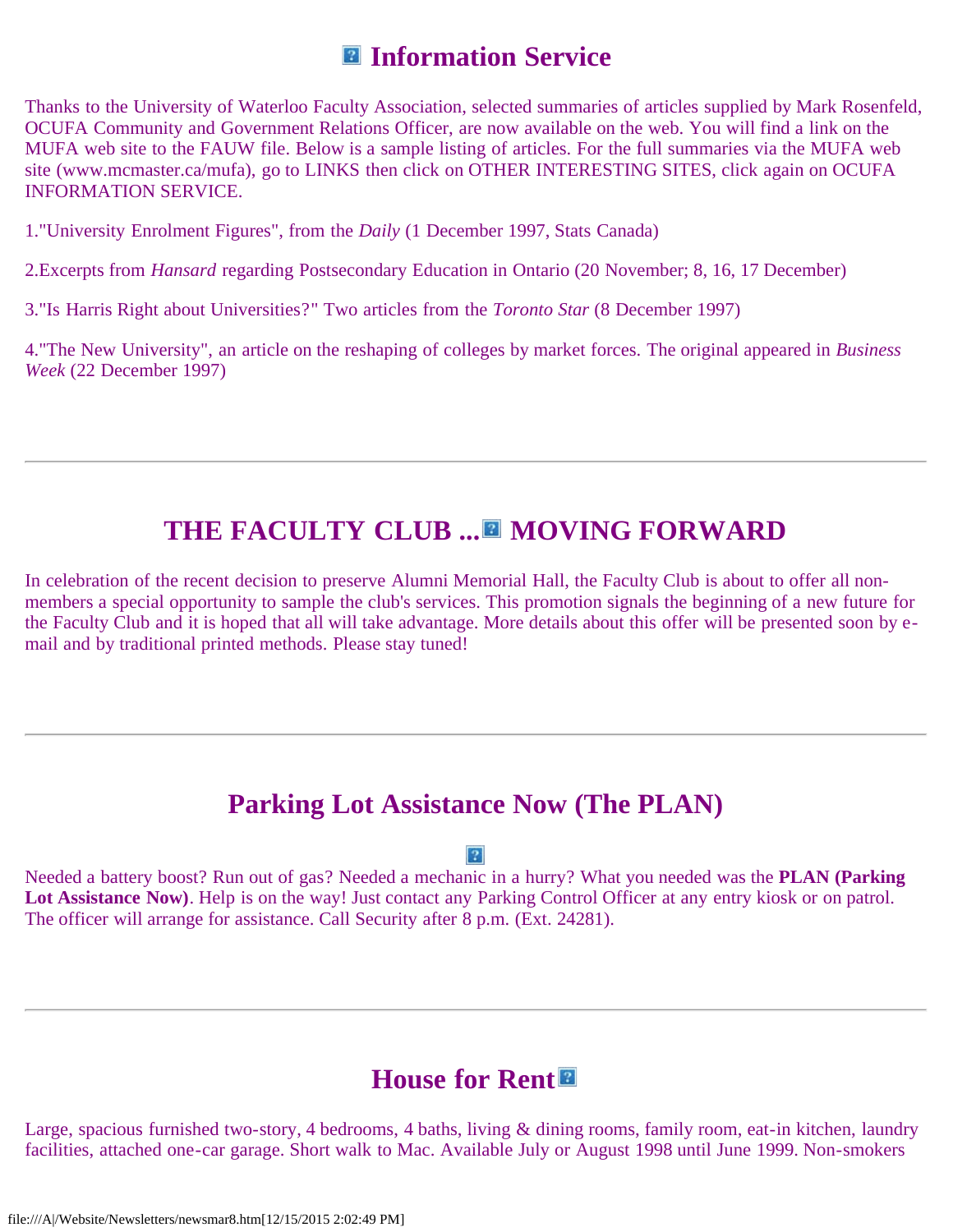# **Information Service**

Thanks to the University of Waterloo Faculty Association, selected summaries of articles supplied by Mark Rosenfeld, OCUFA Community and Government Relations Officer, are now available on the web. You will find a link on the MUFA web site to the FAUW file. Below is a sample listing of articles. For the full summaries via the MUFA web site (www.mcmaster.ca/mufa), go to LINKS then click on OTHER INTERESTING SITES, click again on OCUFA INFORMATION SERVICE.

1."University Enrolment Figures", from the *Daily* (1 December 1997, Stats Canada)

2.Excerpts from *Hansard* regarding Postsecondary Education in Ontario (20 November; 8, 16, 17 December)

3."Is Harris Right about Universities?" Two articles from the *Toronto Star* (8 December 1997)

4."The New University", an article on the reshaping of colleges by market forces. The original appeared in *Business Week* (22 December 1997)

# **THE FACULTY CLUB ... MOVING FORWARD**

In celebration of the recent decision to preserve Alumni Memorial Hall, the Faculty Club is about to offer all nonmembers a special opportunity to sample the club's services. This promotion signals the beginning of a new future for the Faculty Club and it is hoped that all will take advantage. More details about this offer will be presented soon by email and by traditional printed methods. Please stay tuned!

## **Parking Lot Assistance Now (The PLAN)**

 $\vert$  ?

Needed a battery boost? Run out of gas? Needed a mechanic in a hurry? What you needed was the **PLAN (Parking** Lot Assistance Now). Help is on the way! Just contact any Parking Control Officer at any entry kiosk or on patrol. The officer will arrange for assistance. Call Security after 8 p.m. (Ext. 24281).

## **House for Rent**

Large, spacious furnished two-story, 4 bedrooms, 4 baths, living & dining rooms, family room, eat-in kitchen, laundry facilities, attached one-car garage. Short walk to Mac. Available July or August 1998 until June 1999. Non-smokers